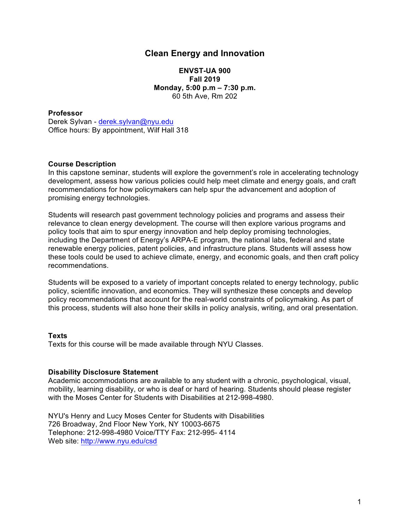# **Clean Energy and Innovation**

**ENVST-UA 900 Fall 2019 Monday, 5:00 p.m – 7:30 p.m.** 60 5th Ave, Rm 202

#### **Professor**

Derek Sylvan - derek.sylvan@nyu.edu Office hours: By appointment, Wilf Hall 318

#### **Course Description**

In this capstone seminar, students will explore the government's role in accelerating technology development, assess how various policies could help meet climate and energy goals, and craft recommendations for how policymakers can help spur the advancement and adoption of promising energy technologies.

Students will research past government technology policies and programs and assess their relevance to clean energy development. The course will then explore various programs and policy tools that aim to spur energy innovation and help deploy promising technologies, including the Department of Energy's ARPA-E program, the national labs, federal and state renewable energy policies, patent policies, and infrastructure plans. Students will assess how these tools could be used to achieve climate, energy, and economic goals, and then craft policy recommendations.

Students will be exposed to a variety of important concepts related to energy technology, public policy, scientific innovation, and economics. They will synthesize these concepts and develop policy recommendations that account for the real-world constraints of policymaking. As part of this process, students will also hone their skills in policy analysis, writing, and oral presentation.

#### **Texts**

Texts for this course will be made available through NYU Classes.

#### **Disability Disclosure Statement**

Academic accommodations are available to any student with a chronic, psychological, visual, mobility, learning disability, or who is deaf or hard of hearing. Students should please register with the Moses Center for Students with Disabilities at 212-998-4980.

NYU's Henry and Lucy Moses Center for Students with Disabilities 726 Broadway, 2nd Floor New York, NY 10003-6675 Telephone: 212-998-4980 Voice/TTY Fax: 212-995- 4114 Web site: http://www.nyu.edu/csd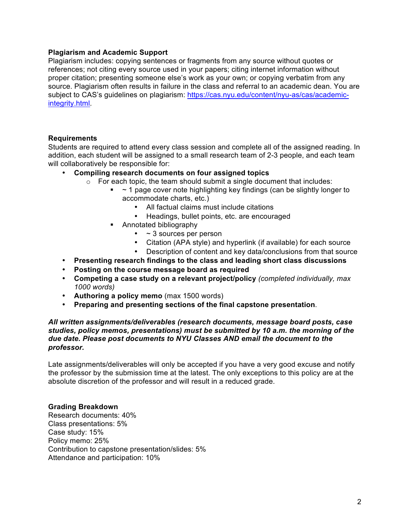#### **Plagiarism and Academic Support**

Plagiarism includes: copying sentences or fragments from any source without quotes or references; not citing every source used in your papers; citing internet information without proper citation; presenting someone else's work as your own; or copying verbatim from any source. Plagiarism often results in failure in the class and referral to an academic dean. You are subject to CAS's guidelines on plagiarism: https://cas.nyu.edu/content/nyu-as/cas/academicintegrity.html.

#### **Requirements**

Students are required to attend every class session and complete all of the assigned reading. In addition, each student will be assigned to a small research team of 2-3 people, and each team will collaboratively be responsible for:

#### • **Compiling research documents on four assigned topics**

- o For each topic, the team should submit a single document that includes:
	- $\sim$  1 page cover note highlighting key findings (can be slightly longer to accommodate charts, etc.)
		- All factual claims must include citations
		- Headings, bullet points, etc. are encouraged
	- Annotated bibliography
		- ~ 3 sources per person
		- Citation (APA style) and hyperlink (if available) for each source
		- Description of content and key data/conclusions from that source
- **Presenting research findings to the class and leading short class discussions**
- **Posting on the course message board as required**
- **Competing a case study on a relevant project/policy** *(completed individually, max 1000 words)*
- **Authoring a policy memo** (max 1500 words)
- **Preparing and presenting sections of the final capstone presentation**.

#### *All written assignments/deliverables (research documents, message board posts, case studies, policy memos, presentations) must be submitted by 10 a.m. the morning of the due date. Please post documents to NYU Classes AND email the document to the professor.*

Late assignments/deliverables will only be accepted if you have a very good excuse and notify the professor by the submission time at the latest. The only exceptions to this policy are at the absolute discretion of the professor and will result in a reduced grade.

#### **Grading Breakdown**

Research documents: 40% Class presentations: 5% Case study: 15% Policy memo: 25% Contribution to capstone presentation/slides: 5% Attendance and participation: 10%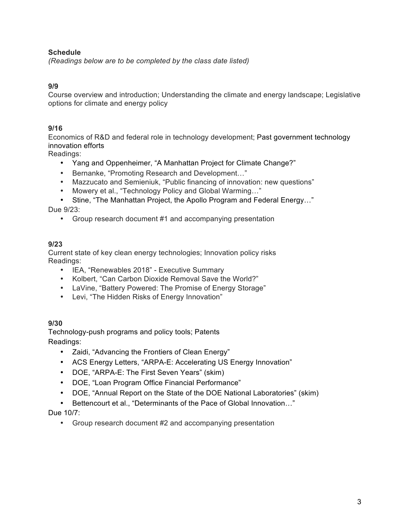## **Schedule**

*(Readings below are to be completed by the class date listed)*

## **9/9**

Course overview and introduction; Understanding the climate and energy landscape; Legislative options for climate and energy policy

## **9/16**

Economics of R&D and federal role in technology development; Past government technology innovation efforts

Readings:

- Yang and Oppenheimer, "A Manhattan Project for Climate Change?"
- Bernanke, "Promoting Research and Development…"
- Mazzucato and Semieniuk, "Public financing of innovation: new questions"
- Mowery et al., "Technology Policy and Global Warming…"
- Stine, "The Manhattan Project, the Apollo Program and Federal Energy…"

Due 9/23:

• Group research document #1 and accompanying presentation

## **9/23**

Current state of key clean energy technologies; Innovation policy risks Readings:

- IEA, "Renewables 2018" Executive Summary
- Kolbert, "Can Carbon Dioxide Removal Save the World?"
- LaVine, "Battery Powered: The Promise of Energy Storage"
- Levi, "The Hidden Risks of Energy Innovation"

## **9/30**

Technology-push programs and policy tools; Patents Readings:

- Zaidi, "Advancing the Frontiers of Clean Energy"
- ACS Energy Letters, "ARPA-E: Accelerating US Energy Innovation"
- DOE, "ARPA-E: The First Seven Years" (skim)
- DOE, "Loan Program Office Financial Performance"
- DOE, "Annual Report on the State of the DOE National Laboratories" (skim)
- Bettencourt et al., "Determinants of the Pace of Global Innovation…"

## Due 10/7:

• Group research document #2 and accompanying presentation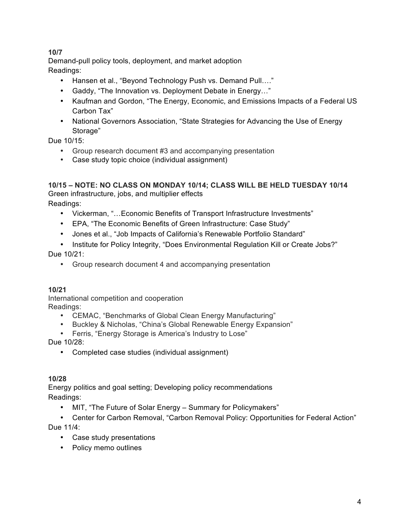# **10/7**

Demand-pull policy tools, deployment, and market adoption Readings:

- Hansen et al., "Beyond Technology Push vs. Demand Pull…."
- Gaddy, "The Innovation vs. Deployment Debate in Energy…"
- Kaufman and Gordon, "The Energy, Economic, and Emissions Impacts of a Federal US Carbon Tax"
- National Governors Association, "State Strategies for Advancing the Use of Energy Storage"

Due 10/15:

- Group research document #3 and accompanying presentation
- Case study topic choice (individual assignment)

# **10/15 – NOTE: NO CLASS ON MONDAY 10/14; CLASS WILL BE HELD TUESDAY 10/14**

Green infrastructure, jobs, and multiplier effects

Readings:

- Vickerman, "…Economic Benefits of Transport Infrastructure Investments"
- EPA, "The Economic Benefits of Green Infrastructure: Case Study"
- Jones et al., "Job Impacts of California's Renewable Portfolio Standard"
- Institute for Policy Integrity, "Does Environmental Regulation Kill or Create Jobs?" Due 10/21:
	- Group research document 4 and accompanying presentation

# **10/21**

International competition and cooperation Readings:

- CEMAC, "Benchmarks of Global Clean Energy Manufacturing"
- Buckley & Nicholas, "China's Global Renewable Energy Expansion"
- Ferris, "Energy Storage is America's Industry to Lose"

Due 10/28:

• Completed case studies (individual assignment)

# **10/28**

Energy politics and goal setting; Developing policy recommendations Readings:

- MIT, "The Future of Solar Energy Summary for Policymakers"
- Center for Carbon Removal, "Carbon Removal Policy: Opportunities for Federal Action"

Due 11/4:

- Case study presentations
- Policy memo outlines